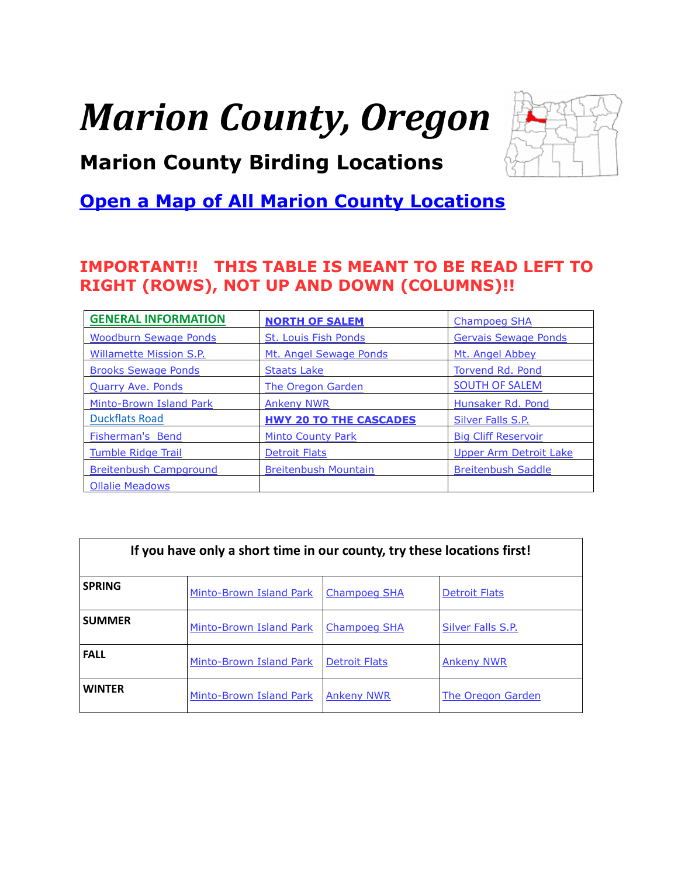# <span id="page-0-0"></span>*Marion County, Oregon*



# **Marion County Birding Locations**

# **[Open a Map of All Marion County Locations](https://www.google.com/maps/d/edit?mid=zVl1oTDALjf4.kXy8AmK67eZ8&usp=sharing)**

#### **IMPORTANT!! THIS TABLE IS MEANT TO BE READ LEFT TO RIGHT (ROWS), NOT UP AND DOWN (COLUMNS)!!**

| <b>GENERAL INFORMATION</b>     | <b>NORTH OF SALEM</b>         | <b>Champoeg SHA</b>           |
|--------------------------------|-------------------------------|-------------------------------|
| <b>Woodburn Sewage Ponds</b>   | <b>St. Louis Fish Ponds</b>   | <b>Gervais Sewage Ponds</b>   |
| <b>Willamette Mission S.P.</b> | Mt. Angel Sewage Ponds        | Mt. Angel Abbey               |
| <b>Brooks Sewage Ponds</b>     | <b>Staats Lake</b>            | Torvend Rd. Pond              |
| <b>Quarry Ave. Ponds</b>       | <b>The Oregon Garden</b>      | <b>SOUTH OF SALEM</b>         |
| Minto-Brown Island Park        | <b>Ankeny NWR</b>             | Hunsaker Rd. Pond             |
| <b>Duckflats Road</b>          | <b>HWY 20 TO THE CASCADES</b> | <b>Silver Falls S.P.</b>      |
| <b>Fisherman's Bend</b>        | <b>Minto County Park</b>      | <b>Big Cliff Reservoir</b>    |
| <b>Tumble Ridge Trail</b>      | <b>Detroit Flats</b>          | <b>Upper Arm Detroit Lake</b> |
| <b>Breitenbush Campground</b>  | <b>Breitenbush Mountain</b>   | <b>Breitenbush Saddle</b>     |
| <b>Ollalie Meadows</b>         |                               |                               |

| If you have only a short time in our county, try these locations first! |                         |                      |                      |  |
|-------------------------------------------------------------------------|-------------------------|----------------------|----------------------|--|
| <b>SPRING</b>                                                           | Minto-Brown Island Park | <b>Champoeg SHA</b>  | <b>Detroit Flats</b> |  |
| <b>SUMMER</b>                                                           | Minto-Brown Island Park | Champoeg SHA         | Silver Falls S.P.    |  |
| <b>FALL</b>                                                             | Minto-Brown Island Park | <b>Detroit Flats</b> | <b>Ankeny NWR</b>    |  |
| <b>WINTER</b>                                                           | Minto-Brown Island Park | <b>Ankeny NWR</b>    | The Oregon Garden    |  |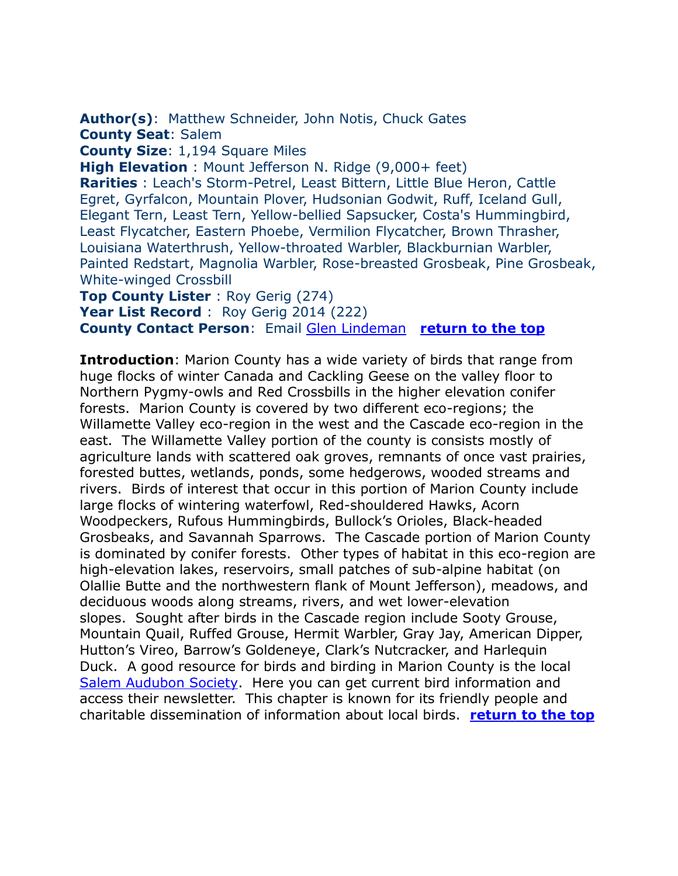<span id="page-1-0"></span>**Author(s)**: Matthew Schneider, John Notis, Chuck Gates **County Seat**: Salem

**County Size**: 1,194 Square Miles

**High Elevation** : Mount Jefferson N. Ridge (9,000+ feet)

**Rarities** : Leach's Storm-Petrel, Least Bittern, Little Blue Heron, Cattle Egret, Gyrfalcon, Mountain Plover, Hudsonian Godwit, Ruff, Iceland Gull, Elegant Tern, Least Tern, Yellow-bellied Sapsucker, Costa's Hummingbird, Least Flycatcher, Eastern Phoebe, Vermilion Flycatcher, Brown Thrasher, Louisiana Waterthrush, Yellow-throated Warbler, Blackburnian Warbler, Painted Redstart, Magnolia Warbler, Rose-breasted Grosbeak, Pine Grosbeak, White-winged Crossbill

**Top County Lister** : Roy Gerig (274) Year List Record : Roy Gerig 2014 (222) **County Contact Person**: Email [Glen Lindeman](mailto:gdalindy@msn.com) **[return to the top](#page-0-0)**

**Introduction**: Marion County has a wide variety of birds that range from huge flocks of winter Canada and Cackling Geese on the valley floor to Northern Pygmy-owls and Red Crossbills in the higher elevation conifer forests. Marion County is covered by two different eco-regions; the Willamette Valley eco-region in the west and the Cascade eco-region in the east. The Willamette Valley portion of the county is consists mostly of agriculture lands with scattered oak groves, remnants of once vast prairies, forested buttes, wetlands, ponds, some hedgerows, wooded streams and rivers. Birds of interest that occur in this portion of Marion County include large flocks of wintering waterfowl, Red-shouldered Hawks, Acorn Woodpeckers, Rufous Hummingbirds, Bullock's Orioles, Black-headed Grosbeaks, and Savannah Sparrows. The Cascade portion of Marion County is dominated by conifer forests. Other types of habitat in this eco-region are high-elevation lakes, reservoirs, small patches of sub-alpine habitat (on Olallie Butte and the northwestern flank of Mount Jefferson), meadows, and deciduous woods along streams, rivers, and wet lower-elevation slopes. Sought after birds in the Cascade region include Sooty Grouse, Mountain Quail, Ruffed Grouse, Hermit Warbler, Gray Jay, American Dipper, Hutton's Vireo, Barrow's Goldeneye, Clark's Nutcracker, and Harlequin Duck. A good resource for birds and birding in Marion County is the local [Salem Audubon Society.](http://www.salemaudubon.org/) Here you can get current bird information and access their newsletter. This chapter is known for its friendly people and charitable dissemination of information about local birds. **[return to the top](#page-0-0)**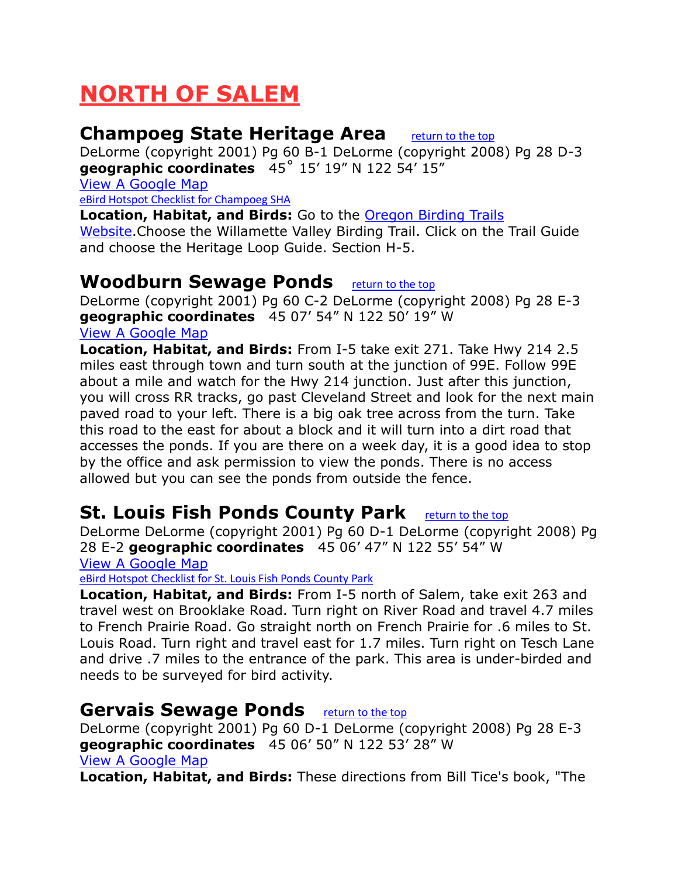# <span id="page-2-0"></span>**NORTH OF SALEM**

#### <span id="page-2-1"></span>**Champoeg State Heritage Area** [return to the top](#page-0-0)

DeLorme (copyright 2001) Pg 60 B-1 DeLorme (copyright 2008) Pg 28 D-3 **geographic coordinates** 45˚ 15' 19" N 122 54' 15"

[View A Google Map](http://maps.google.com/maps/ms?hl=en&ie=UTF8&msa=0&msid=108036481085398338899.00046dd5d77e3d1f4f5a6&ll=45.046359,-122.939758&spn=0.833461,2.108002&z=10)

[eBird Hotspot Checklist for Champoeg SHA](http://ebird.org/ebird/hotspot/L663914)

**Location, Habitat, and Birds:** Go to the [Oregon Birding Trails](http://www.oregonbirdingtrails.org/)  [Website.](http://www.oregonbirdingtrails.org/)Choose the Willamette Valley Birding Trail. Click on the Trail Guide and choose the Heritage Loop Guide. Section H-5.

#### <span id="page-2-2"></span>**Woodburn Sewage Ponds** [return to the top](#page-0-0)

DeLorme (copyright 2001) Pg 60 C-2 DeLorme (copyright 2008) Pg 28 E-3 **geographic coordinates** 45 07' 54" N 122 50' 19" W [View A Google Map](http://maps.google.com/maps/ms?hl=en&ie=UTF8&msa=0&msid=108036481085398338899.00046dd5d77e3d1f4f5a6&ll=45.046359,-122.939758&spn=0.833461,2.108002&z=10)

**Location, Habitat, and Birds:** From I-5 take exit 271. Take Hwy 214 2.5 miles east through town and turn south at the junction of 99E. Follow 99E about a mile and watch for the Hwy 214 junction. Just after this junction, you will cross RR tracks, go past Cleveland Street and look for the next main paved road to your left. There is a big oak tree across from the turn. Take this road to the east for about a block and it will turn into a dirt road that accesses the ponds. If you are there on a week day, it is a good idea to stop by the office and ask permission to view the ponds. There is no access allowed but you can see the ponds from outside the fence.

## <span id="page-2-3"></span>**St. Louis Fish Ponds County Park** [return to the top](#page-0-0)

DeLorme DeLorme (copyright 2001) Pg 60 D-1 DeLorme (copyright 2008) Pg 28 E-2 **geographic coordinates** 45 06' 47" N 122 55' 54" W

[View A Google Map](http://maps.google.com/maps/ms?hl=en&ie=UTF8&msa=0&msid=108036481085398338899.00046dd5d77e3d1f4f5a6&ll=45.046359,-122.939758&spn=0.833461,2.108002&z=10)

[eBird Hotspot Checklist for St. Louis Fish Ponds County Park](http://ebird.org/ebird/hotspot/L211328)

**Location, Habitat, and Birds:** From I-5 north of Salem, take exit 263 and travel west on Brooklake Road. Turn right on River Road and travel 4.7 miles to French Prairie Road. Go straight north on French Prairie for .6 miles to St. Louis Road. Turn right and travel east for 1.7 miles. Turn right on Tesch Lane and drive .7 miles to the entrance of the park. This area is under-birded and needs to be surveyed for bird activity.

#### <span id="page-2-4"></span>**Gervais Sewage Ponds** [return to the top](#page-0-0)

DeLorme (copyright 2001) Pg 60 D-1 DeLorme (copyright 2008) Pg 28 E-3 **geographic coordinates** 45 06' 50" N 122 53' 28" W [View A Google Map](http://maps.google.com/maps/ms?hl=en&ie=UTF8&msa=0&msid=108036481085398338899.00046dd5d77e3d1f4f5a6&ll=45.046359,-122.939758&spn=0.833461,2.108002&z=10)

**Location, Habitat, and Birds:** These directions from Bill Tice's book, "The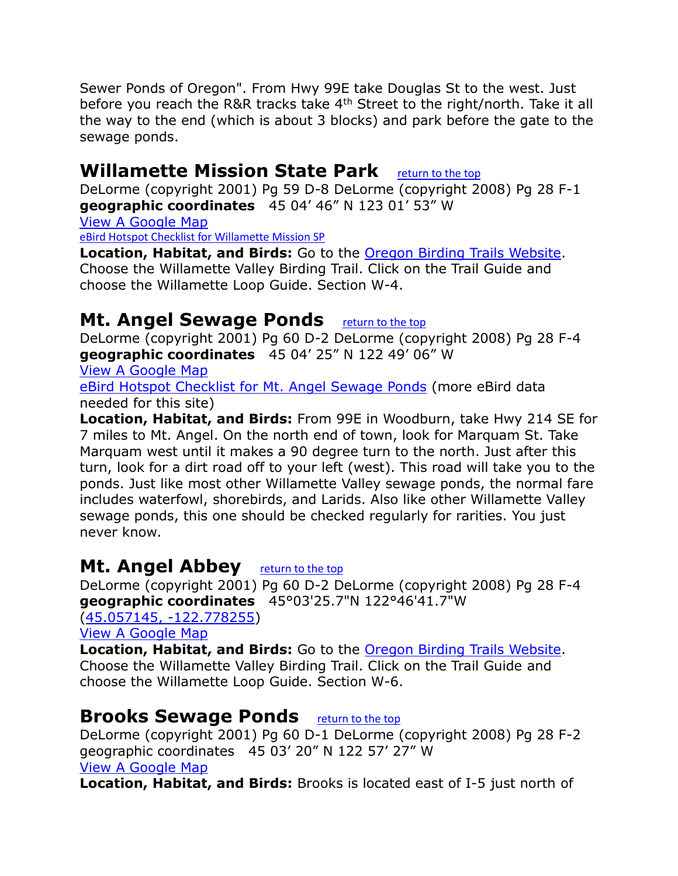Sewer Ponds of Oregon". From Hwy 99E take Douglas St to the west. Just before you reach the R&R tracks take 4<sup>th</sup> Street to the right/north. Take it all the way to the end (which is about 3 blocks) and park before the gate to the sewage ponds.

## <span id="page-3-0"></span>**Willamette Mission State Park** [return to the top](#page-0-0)

DeLorme (copyright 2001) Pg 59 D-8 DeLorme (copyright 2008) Pg 28 F-1 **geographic coordinates** 45 04' 46" N 123 01' 53" W [View A Google Map](http://maps.google.com/maps/ms?hl=en&ie=UTF8&msa=0&msid=108036481085398338899.00046dd5d77e3d1f4f5a6&ll=45.046359,-122.939758&spn=0.833461,2.108002&z=10)

[eBird Hotspot Checklist for Willamette Mission SP](http://ebird.org/ebird/hotspot/L958766)

**Location, Habitat, and Birds:** Go to the [Oregon Birding Trails Website.](http://www.oregonbirdingtrails.org/) Choose the Willamette Valley Birding Trail. Click on the Trail Guide and choose the Willamette Loop Guide. Section W-4.

## <span id="page-3-1"></span>**Mt. Angel Sewage Ponds** [return to the top](#page-0-0)

DeLorme (copyright 2001) Pg 60 D-2 DeLorme (copyright 2008) Pg 28 F-4 **geographic coordinates** 45 04' 25" N 122 49' 06" W

[View A Google Map](http://maps.google.com/maps/ms?hl=en&ie=UTF8&msa=0&msid=108036481085398338899.00046dd5d77e3d1f4f5a6&ll=45.046359,-122.939758&spn=0.833461,2.108002&z=10)

[eBird Hotspot Checklist for Mt. Angel Sewage Ponds](http://ebird.org/ebird/hotspot/L1234799) (more eBird data needed for this site)

**Location, Habitat, and Birds:** From 99E in Woodburn, take Hwy 214 SE for 7 miles to Mt. Angel. On the north end of town, look for Marquam St. Take Marquam west until it makes a 90 degree turn to the north. Just after this turn, look for a dirt road off to your left (west). This road will take you to the ponds. Just like most other Willamette Valley sewage ponds, the normal fare includes waterfowl, shorebirds, and Larids. Also like other Willamette Valley sewage ponds, this one should be checked regularly for rarities. You just never know.

#### <span id="page-3-2"></span>**Mt. Angel Abbey** [return to the top](#page-0-0)

DeLorme (copyright 2001) Pg 60 D-2 DeLorme (copyright 2008) Pg 28 F-4 **geographic coordinates** 45°03'25.7"N 122°46'41.7"W

[\(45.057145, -122.778255\)](https://www.google.com/maps/place/45°03) [View A Google Map](http://maps.google.com/maps/ms?hl=en&ie=UTF8&msa=0&msid=108036481085398338899.00046dd5d77e3d1f4f5a6&ll=45.046359,-122.939758&spn=0.833461,2.108002&z=10)

**Location, Habitat, and Birds:** Go to the [Oregon Birding Trails Website.](http://www.oregonbirdingtrails.org/) Choose the Willamette Valley Birding Trail. Click on the Trail Guide and choose the Willamette Loop Guide. Section W-6.

## <span id="page-3-3"></span>**Brooks Sewage Ponds** [return to the top](#page-0-0)

DeLorme (copyright 2001) Pg 60 D-1 DeLorme (copyright 2008) Pg 28 F-2 geographic coordinates 45 03' 20" N 122 57' 27" W [View A Google Map](http://maps.google.com/maps/ms?hl=en&ie=UTF8&msa=0&msid=108036481085398338899.00046dd5d77e3d1f4f5a6&ll=45.046359,-122.939758&spn=0.833461,2.108002&z=10)

**Location, Habitat, and Birds:** Brooks is located east of I-5 just north of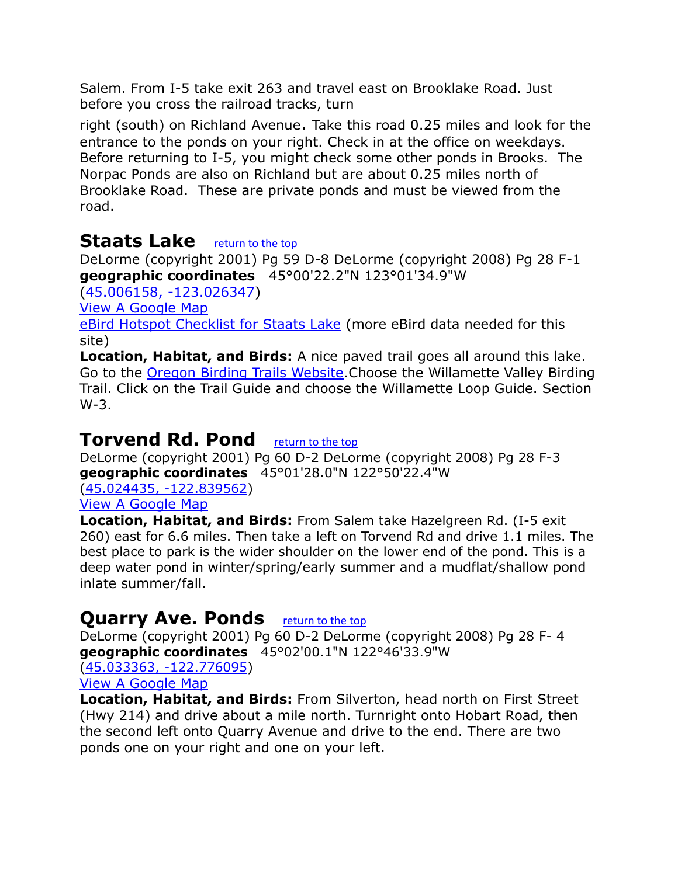Salem. From I-5 take exit 263 and travel east on Brooklake Road. Just before you cross the railroad tracks, turn

right (south) on Richland Avenue. Take this road 0.25 miles and look for the entrance to the ponds on your right. Check in at the office on weekdays. Before returning to I-5, you might check some other ponds in Brooks. The Norpac Ponds are also on Richland but are about 0.25 miles north of Brooklake Road. These are private ponds and must be viewed from the road.

#### <span id="page-4-0"></span>**Staats Lake** [return to the top](#page-0-0)

DeLorme (copyright 2001) Pg 59 D-8 DeLorme (copyright 2008) Pg 28 F-1 **geographic coordinates** 45°00'22.2"N 123°01'34.9"W

[\(45.006158, -123.026347\)](https://www.google.com/maps/place/45°00)

[View A Google Map](http://maps.google.com/maps/ms?hl=en&ie=UTF8&msa=0&msid=108036481085398338899.00046dd5d77e3d1f4f5a6&ll=45.046359,-122.939758&spn=0.833461,2.108002&z=10)

[eBird Hotspot Checklist for Staats Lake](http://ebird.org/ebird/hotspot/L1019388) (more eBird data needed for this site)

**Location, Habitat, and Birds:** A nice paved trail goes all around this lake. Go to the [Oregon Birding Trails Website.](http://www.oregonbirdingtrails.org/)Choose the Willamette Valley Birding Trail. Click on the Trail Guide and choose the Willamette Loop Guide. Section W-3.

## <span id="page-4-1"></span>**Torvend Rd. Pond** [return to the top](#page-0-0)

DeLorme (copyright 2001) Pg 60 D-2 DeLorme (copyright 2008) Pg 28 F-3 **geographic coordinates** 45°01'28.0"N 122°50'22.4"W

[\(45.024435, -122.839562\)](https://www.google.com/maps/place/45°01)

[View A Google Map](http://maps.google.com/maps/ms?hl=en&ie=UTF8&msa=0&msid=108036481085398338899.00046dd5d77e3d1f4f5a6&ll=45.046359,-122.939758&spn=0.833461,2.108002&z=10)

**Location, Habitat, and Birds:** From Salem take Hazelgreen Rd. (I-5 exit 260) east for 6.6 miles. Then take a left on Torvend Rd and drive 1.1 miles. The best place to park is the wider shoulder on the lower end of the pond. This is a deep water pond in winter/spring/early summer and a mudflat/shallow pond inlate summer/fall.

# <span id="page-4-2"></span>**Quarry Ave. Ponds [return to the top](#page-0-0)**

DeLorme (copyright 2001) Pg 60 D-2 DeLorme (copyright 2008) Pg 28 F- 4 **geographic coordinates** 45°02'00.1"N 122°46'33.9"W

[\(45.033363, -122.776095\)](https://www.google.com/maps/place/45°02)

[View A Google Map](http://maps.google.com/maps/ms?hl=en&ie=UTF8&msa=0&msid=108036481085398338899.00046dd5d77e3d1f4f5a6&ll=45.046359,-122.939758&spn=0.833461,2.108002&z=10)

**Location, Habitat, and Birds:** From Silverton, head north on First Street (Hwy 214) and drive about a mile north. Turnright onto Hobart Road, then the second left onto Quarry Avenue and drive to the end. There are two ponds one on your right and one on your left.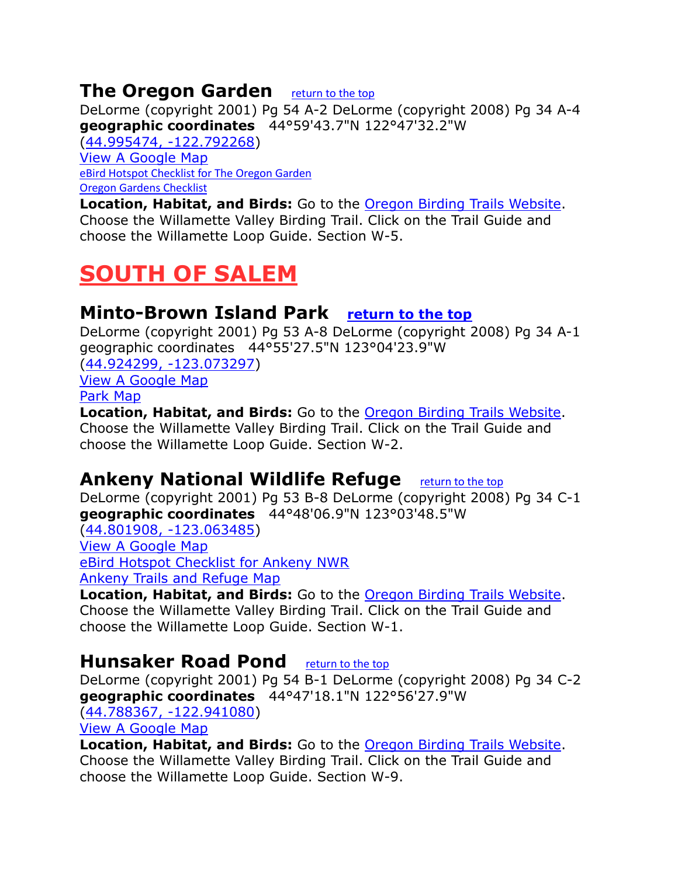## <span id="page-5-0"></span>**The Oregon Garden** [return to the top](#page-0-0)

DeLorme (copyright 2001) Pg 54 A-2 DeLorme (copyright 2008) Pg 34 A-4 **geographic coordinates** 44°59'43.7"N 122°47'32.2"W

[\(44.995474, -122.792268\)](https://www.google.com/maps/place/44°59) [View A Google Map](http://maps.google.com/maps/ms?hl=en&ie=UTF8&msa=0&msid=108036481085398338899.00046dd5d77e3d1f4f5a6&ll=45.046359,-122.939758&spn=0.833461,2.108002&z=10) [eBird Hotspot Checklist for The Oregon Garden](http://ebird.org/ebird/hotspot/L685396) [Oregon Gardens Checklist](http://everybirdlist.com/EveryBirdList/Bird_Check_Lists_files/Oregon%20Garden%20Checklist.pdf)

**Location, Habitat, and Birds:** Go to the [Oregon Birding Trails Website.](http://www.oregonbirdingtrails.org/) Choose the Willamette Valley Birding Trail. Click on the Trail Guide and choose the Willamette Loop Guide. Section W-5.

# <span id="page-5-1"></span>**SOUTH OF SALEM**

#### <span id="page-5-2"></span>**Minto-Brown Island Park [return to the top](#page-0-0)**

DeLorme (copyright 2001) Pg 53 A-8 DeLorme (copyright 2008) Pg 34 A-1 geographic coordinates 44°55'27.5"N 123°04'23.9"W

[\(44.924299, -123.073297\)](https://www.google.com/maps/place/44°55) [View A Google Map](http://maps.google.com/maps/ms?hl=en&ie=UTF8&msa=0&msid=108036481085398338899.00046dd5d77e3d1f4f5a6&ll=45.046359,-122.939758&spn=0.833461,2.108002&z=10) [Park Map](http://www.cityofsalem.net/Residents/Parks/ParkTour/Pages/Minto-Brown%20Island%20Park.aspx)

**Location, Habitat, and Birds:** Go to the [Oregon Birding Trails Website.](http://www.oregonbirdingtrails.org/) Choose the Willamette Valley Birding Trail. Click on the Trail Guide and choose the Willamette Loop Guide. Section W-2.

# <span id="page-5-3"></span>**Ankeny National Wildlife Refuge** [return to the top](#page-0-0)

DeLorme (copyright 2001) Pg 53 B-8 DeLorme (copyright 2008) Pg 34 C-1 **geographic coordinates** 44°48'06.9"N 123°03'48.5"W [\(44.801908, -123.063485\)](https://www.google.com/maps/place/44°48)

[View A Google Map](http://maps.google.com/maps/ms?hl=en&ie=UTF8&msa=0&msid=108036481085398338899.00046dd5d77e3d1f4f5a6&ll=45.046359,-122.939758&spn=0.833461,2.108002&z=10)

[eBird Hotspot Checklist for Ankeny NWR](http://ebird.org/ebird/hotspot/L159571)

[Ankeny Trails and Refuge Map](https://www.fws.gov/willamettevalley/Ankeny/documents/ANWR%20trail%20des2.pdf)

**Location, Habitat, and Birds:** Go to the [Oregon Birding Trails Website.](http://www.oregonbirdingtrails.org/) Choose the Willamette Valley Birding Trail. Click on the Trail Guide and choose the Willamette Loop Guide. Section W-1.

## <span id="page-5-4"></span>**Hunsaker Road Pond** [return to the top](#page-0-0)

DeLorme (copyright 2001) Pg 54 B-1 DeLorme (copyright 2008) Pg 34 C-2 **geographic coordinates** 44°47'18.1"N 122°56'27.9"W

[\(44.788367, -122.941080\)](https://www.google.com/maps/place/44°47)

[View A Google Map](http://maps.google.com/maps/ms?hl=en&ie=UTF8&msa=0&msid=108036481085398338899.00046dd5d77e3d1f4f5a6&ll=45.046359,-122.939758&spn=0.833461,2.108002&z=10)

**Location, Habitat, and Birds:** Go to the [Oregon Birding Trails Website.](http://www.oregonbirdingtrails.org/) Choose the Willamette Valley Birding Trail. Click on the Trail Guide and choose the Willamette Loop Guide. Section W-9.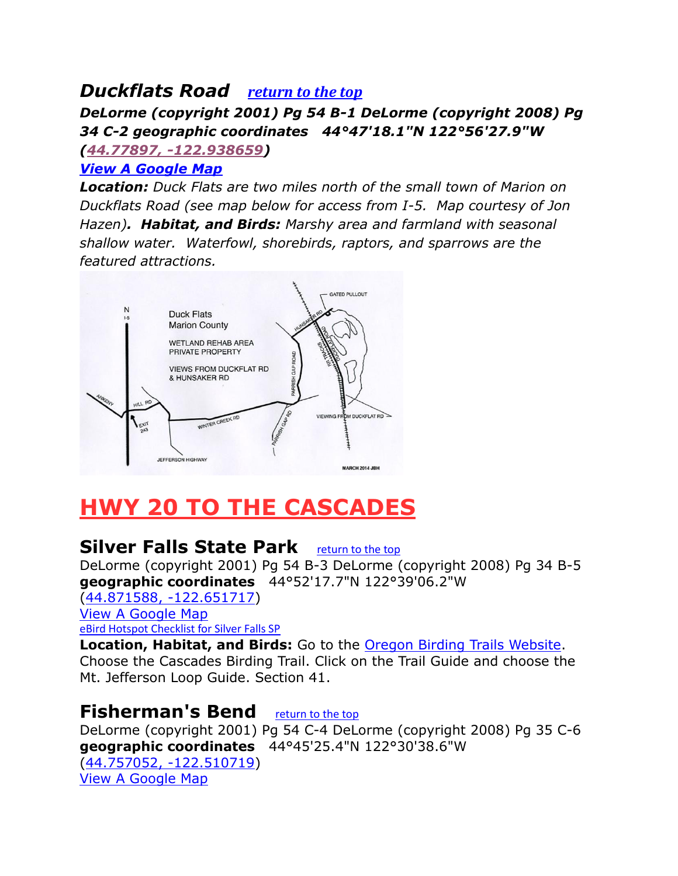## <span id="page-6-0"></span>*Duckflats Road [return to the top](#page-0-0)*

*DeLorme (copyright 2001) Pg 54 B-1 DeLorme (copyright 2008) Pg 34 C-2 geographic coordinates 44°47'18.1"N 122°56'27.9"W [\(44.77897, -122.938659\)](https://www.google.com/maps/place/44%C2%B046)*

#### *[View A Google Map](http://maps.google.com/maps/ms?hl=en&ie=UTF8&msa=0&msid=108036481085398338899.00046dd5d77e3d1f4f5a6&ll=45.046359,-122.939758&spn=0.833461,2.108002&z=10)*

*Location: Duck Flats are two miles north of the small town of Marion on Duckflats Road (see map below for access from I-5. Map courtesy of Jon Hazen). Habitat, and Birds: Marshy area and farmland with seasonal shallow water. Waterfowl, shorebirds, raptors, and sparrows are the featured attractions.* 



# <span id="page-6-2"></span><span id="page-6-1"></span>**HWY 20 TO THE CASCADES**

## **Silver Falls State Park** [return to the top](#page-0-0)

DeLorme (copyright 2001) Pg 54 B-3 DeLorme (copyright 2008) Pg 34 B-5 **geographic coordinates** 44°52'17.7"N 122°39'06.2"W

[\(44.871588, -122.651717\)](https://www.google.com/maps/place/44°52) [View A Google Map](http://maps.google.com/maps/ms?hl=en&ie=UTF8&msa=0&ll=44.816428,-122.603302&spn=0.38236,1.055374&z=11&msid=108036481085398338899.00046d8648fc82323a7e2)

[eBird Hotspot Checklist for Silver Falls SP](http://ebird.org/ebird/hotspot/L159602)

**Location, Habitat, and Birds:** Go to the [Oregon Birding Trails Website.](http://www.oregonbirdingtrails.org/) Choose the Cascades Birding Trail. Click on the Trail Guide and choose the Mt. Jefferson Loop Guide. Section 41.

## <span id="page-6-3"></span>**Fisherman's Bend** [return to the top](#page-0-0)

DeLorme (copyright 2001) Pg 54 C-4 DeLorme (copyright 2008) Pg 35 C-6 **geographic coordinates** 44°45'25.4"N 122°30'38.6"W [\(44.757052, -122.510719\)](https://www.google.com/maps/place/44°45) [View A Google Map](http://maps.google.com/maps/ms?hl=en&ie=UTF8&msa=0&ll=44.816428,-122.603302&spn=0.38236,1.055374&z=11&msid=108036481085398338899.00046d8648fc82323a7e2)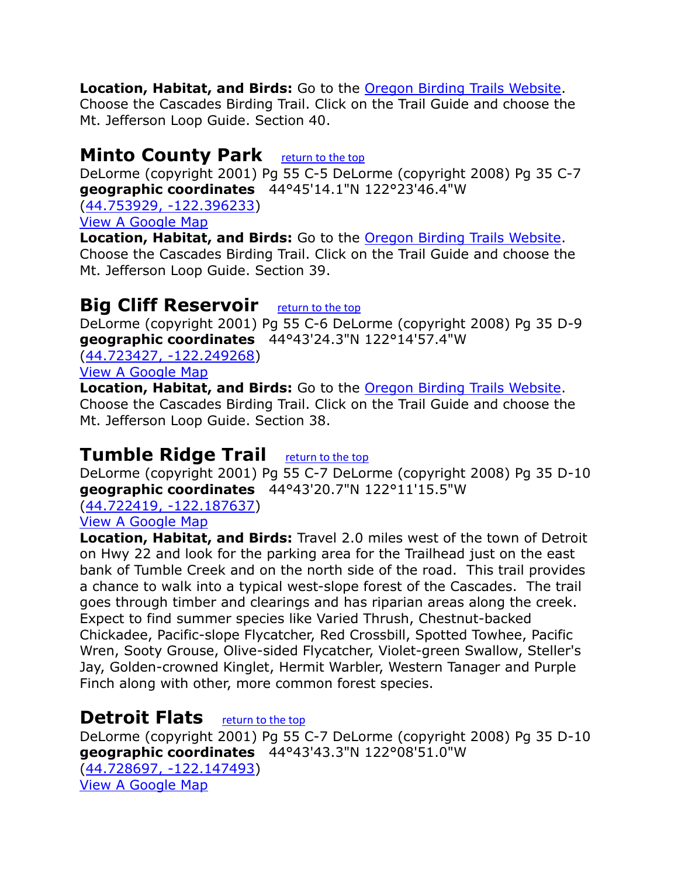#### **Location, Habitat, and Birds:** Go to the [Oregon Birding Trails Website.](http://www.oregonbirdingtrails.org/)

Choose the Cascades Birding Trail. Click on the Trail Guide and choose the Mt. Jefferson Loop Guide. Section 40.

#### <span id="page-7-0"></span>**Minto County Park** [return to the top](#page-0-0)

DeLorme (copyright 2001) Pg 55 C-5 DeLorme (copyright 2008) Pg 35 C-7 **geographic coordinates** 44°45'14.1"N 122°23'46.4"W

[\(44.753929, -122.396233\)](https://www.google.com/maps/place/44°45)

[View A Google Map](http://maps.google.com/maps/ms?hl=en&ie=UTF8&msa=0&msid=108036481085398338899.00046d85866dc6746fbac&ll=44.747952,-122.033386&spn=0.191407,0.527687&z=10)

**Location, Habitat, and Birds:** Go to the [Oregon Birding Trails Website.](http://www.oregonbirdingtrails.org/) Choose the Cascades Birding Trail. Click on the Trail Guide and choose the Mt. Jefferson Loop Guide. Section 39.

#### <span id="page-7-1"></span>**Big Cliff Reservoir** [return to the top](#page-0-0)

DeLorme (copyright 2001) Pg 55 C-6 DeLorme (copyright 2008) Pg 35 D-9 **geographic coordinates** 44°43'24.3"N 122°14'57.4"W

[\(44.723427, -122.249268\)](https://www.google.com/maps/place/44°43)

[View A Google Map](http://maps.google.com/maps/ms?hl=en&ie=UTF8&msa=0&msid=108036481085398338899.00046d85866dc6746fbac&ll=44.747952,-122.033386&spn=0.191407,0.527687&z=10)

**Location, Habitat, and Birds:** Go to the [Oregon Birding Trails Website.](http://www.oregonbirdingtrails.org/) Choose the Cascades Birding Trail. Click on the Trail Guide and choose the Mt. Jefferson Loop Guide. Section 38.

#### <span id="page-7-2"></span>**Tumble Ridge Trail** [return to the top](#page-0-0)

DeLorme (copyright 2001) Pg 55 C-7 DeLorme (copyright 2008) Pg 35 D-10 **geographic coordinates** 44°43'20.7"N 122°11'15.5"W

[\(44.722419, -122.187637\)](https://www.google.com/maps/place/44°43)

[View A Google Map](http://maps.google.com/maps/ms?hl=en&ie=UTF8&msa=0&msid=108036481085398338899.00046d85866dc6746fbac&ll=44.747952,-122.033386&spn=0.191407,0.527687&z=10)

**Location, Habitat, and Birds:** Travel 2.0 miles west of the town of Detroit on Hwy 22 and look for the parking area for the Trailhead just on the east bank of Tumble Creek and on the north side of the road. This trail provides a chance to walk into a typical west-slope forest of the Cascades. The trail goes through timber and clearings and has riparian areas along the creek. Expect to find summer species like Varied Thrush, Chestnut-backed Chickadee, Pacific-slope Flycatcher, Red Crossbill, Spotted Towhee, Pacific Wren, Sooty Grouse, Olive-sided Flycatcher, Violet-green Swallow, Steller's Jay, Golden-crowned Kinglet, Hermit Warbler, Western Tanager and Purple Finch along with other, more common forest species.

#### <span id="page-7-3"></span>**Detroit Flats** [return to the top](#page-0-0)

DeLorme (copyright 2001) Pg 55 C-7 DeLorme (copyright 2008) Pg 35 D-10 **geographic coordinates** 44°43'43.3"N 122°08'51.0"W [\(44.728697, -122.147493\)](https://www.google.com/maps/place/44°43) [View A Google Map](http://maps.google.com/maps/ms?hl=en&ie=UTF8&msa=0&msid=108036481085398338899.00046d85866dc6746fbac&ll=44.747952,-122.033386&spn=0.191407,0.527687&z=10)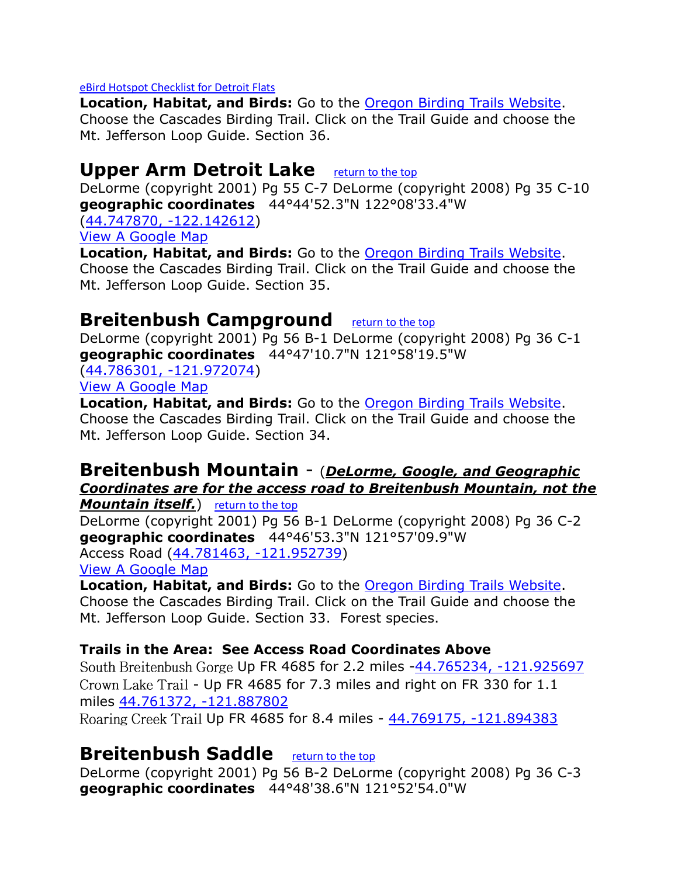#### [eBird Hotspot Checklist for Detroit Flats](http://ebird.org/ebird/hotspot/L285631)

**Location, Habitat, and Birds:** Go to the [Oregon Birding Trails Website.](http://www.oregonbirdingtrails.org/) Choose the Cascades Birding Trail. Click on the Trail Guide and choose the Mt. Jefferson Loop Guide. Section 36.

#### <span id="page-8-0"></span>**Upper Arm Detroit Lake** [return to the top](#page-0-0)

DeLorme (copyright 2001) Pg 55 C-7 DeLorme (copyright 2008) Pg 35 C-10 **geographic coordinates** 44°44'52.3"N 122°08'33.4"W

[\(44.747870, -122.142612\)](https://www.google.com/maps/place/44°44) [View A Google Map](http://maps.google.com/maps/ms?hl=en&ie=UTF8&msa=0&msid=108036481085398338899.00046d85866dc6746fbac&ll=44.747952,-122.033386&spn=0.191407,0.527687&z=10)

**Location, Habitat, and Birds:** Go to the [Oregon Birding Trails Website.](http://www.oregonbirdingtrails.org/) Choose the Cascades Birding Trail. Click on the Trail Guide and choose the Mt. Jefferson Loop Guide. Section 35.

#### <span id="page-8-1"></span>**Breitenbush Campground** [return to the top](#page-0-0)

DeLorme (copyright 2001) Pg 56 B-1 DeLorme (copyright 2008) Pg 36 C-1 **geographic coordinates** 44°47'10.7"N 121°58'19.5"W

[\(44.786301, -121.972074\)](https://www.google.com/maps/place/44°47)

[View A Google Map](http://maps.google.com/maps/ms?hl=en&ie=UTF8&msa=0&msid=108036481085398338899.00046d85866dc6746fbac&ll=44.747952,-122.033386&spn=0.191407,0.527687&z=10)

**Location, Habitat, and Birds:** Go to the [Oregon Birding Trails Website.](http://www.oregonbirdingtrails.org/) Choose the Cascades Birding Trail. Click on the Trail Guide and choose the Mt. Jefferson Loop Guide. Section 34.

#### <span id="page-8-2"></span>**Breitenbush Mountain** - (*DeLorme, Google, and Geographic Coordinates are for the access road to Breitenbush Mountain, not the*

**Mountain itself.**) [return to the top](#page-0-0)

DeLorme (copyright 2001) Pg 56 B-1 DeLorme (copyright 2008) Pg 36 C-2 **geographic coordinates** 44°46'53.3"N 121°57'09.9"W

Access Road [\(44.781463, -121.952739\)](https://www.google.com/maps/place/44°46)

[View A Google Map](http://maps.google.com/maps/ms?hl=en&ie=UTF8&msa=0&msid=108036481085398338899.00046d85866dc6746fbac&ll=44.747952,-122.033386&spn=0.191407,0.527687&z=10)

**Location, Habitat, and Birds:** Go to the [Oregon Birding Trails Website.](http://www.oregonbirdingtrails.org/) Choose the Cascades Birding Trail. Click on the Trail Guide and choose the Mt. Jefferson Loop Guide. Section 33. Forest species.

#### **Trails in the Area: See Access Road Coordinates Above**

South Breitenbush Gorge Up FR 4685 for 2.2 miles [-44.765234, -121.925697](https://www.google.com/maps/place/44°45) Crown Lake Trail - Up FR 4685 for 7.3 miles and right on FR 330 for 1.1 miles [44.761372, -121.887802](https://www.google.com/maps/place/44°45) 

<span id="page-8-3"></span>Roaring Creek Trail Up FR 4685 for 8.4 miles - [44.769175, -121.894383](https://www.google.com/maps/place/44°46)

#### **Breitenbush Saddle** [return to the top](#page-0-0)

DeLorme (copyright 2001) Pg 56 B-2 DeLorme (copyright 2008) Pg 36 C-3 **geographic coordinates** 44°48'38.6"N 121°52'54.0"W